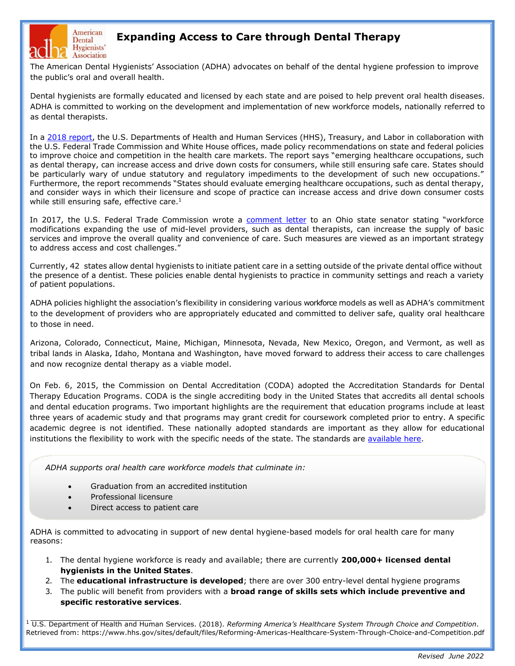

# **Expanding Access to Care through Dental Therapy**

The American Dental Hygienists' Association (ADHA) advocates on behalf of the dental hygiene profession to improve the public's oral and overall health.

Dental hygienists are formally educated and licensed by each state and are poised to help prevent oral health diseases. ADHA is committed to working on the development and implementation of new workforce models, nationally referred to as dental therapists.

In a [2018 report,](https://www.hhs.gov/sites/default/files/Reforming-Americas-Healthcare-System-Through-Choice-and-Competition.pdf) the U.S. Departments of Health and Human Services (HHS), Treasury, and Labor in collaboration with the U.S. Federal Trade Commission and White House offices, made policy recommendations on state and federal policies to improve choice and competition in the health care markets. The report says "emerging healthcare occupations, such as dental therapy, can increase access and drive down costs for consumers, while still ensuring safe care. States should be particularly wary of undue statutory and regulatory impediments to the development of such new occupations." Furthermore, the report recommends "States should evaluate emerging healthcare occupations, such as dental therapy, and consider ways in which their licensure and scope of practice can increase access and drive down consumer costs while still ensuring safe, effective care. $<sup>1</sup>$ </sup>

In 2017, the U.S. Federal Trade Commission wrote a [comment letter](https://www.ftc.gov/system/files/documents/advocacy_documents/ftc-staff-comment-ohio-state-senate-regarding-competitive-effects-sb-330-increasing-access-quality/v170003_ftc_staff_comment_to_ohio_state_senate_re_ohio_sb_330_re_dental_therapists_and_hygienists.pdf) to an Ohio state senator stating "workforce modifications expanding the use of mid-level providers, such as dental therapists, can increase the supply of basic services and improve the overall quality and convenience of care. Such measures are viewed as an important strategy to address access and cost challenges."

Currently, 42 states allow dental hygienists to initiate patient care in a setting outside of the private dental office without the presence of a dentist. These policies enable dental hygienists to practice in community settings and reach a variety of patient populations.

ADHA policies highlight the association's flexibility in considering various workforce models as well as ADHA's commitment to the development of providers who are appropriately educated and committed to deliver safe, quality oral healthcare to those in need.

Arizona, Colorado, Connecticut, Maine, Michigan, Minnesota, Nevada, New Mexico, Oregon, and Vermont, as well as tribal lands in Alaska, Idaho, Montana and Washington, have moved forward to address their access to care challenges and now recognize dental therapy as a viable model.

On Feb. 6, 2015, the Commission on Dental Accreditation (CODA) adopted the Accreditation Standards for Dental Therapy Education Programs. CODA is the single accrediting body in the United States that accredits all dental schools and dental education programs. Two important highlights are the requirement that education programs include at least three years of academic study and that programs may grant credit for coursework completed prior to entry. A specific academic degree is not identified. These nationally adopted standards are important as they allow for educational institutions the flexibility to work with the specific needs of the state. The standards are [available here.](https://coda.ada.org/%7E/media/CODA/Files/dental_therapy_standards.pdf?la=en)

*ADHA supports oral health care workforce models that culminate in:*

- Graduation from an accredited institution
- Professional licensure
- Direct access to patient care

ADHA is committed to advocating in support of new dental hygiene-based models for oral health care for many reasons:

- 1. The dental hygiene workforce is ready and available; there are currently **200,000+ licensed dental hygienists in the United States**.
- 2. The **educational infrastructure is developed**; there are over 300 entry-level dental hygiene programs
- 3. The public will benefit from providers with a **broad range of skills sets which include preventive and specific restorative services**.

<sup>1</sup> U.S. Department of Health and Human Services. (2018). *Reforming America's Healthcare System Through Choice and Competition*. Retrieved from: https://www.hhs.gov/sites/default/files/Reforming-Americas-Healthcare-System-Through-Choice-and-Competition.pdf